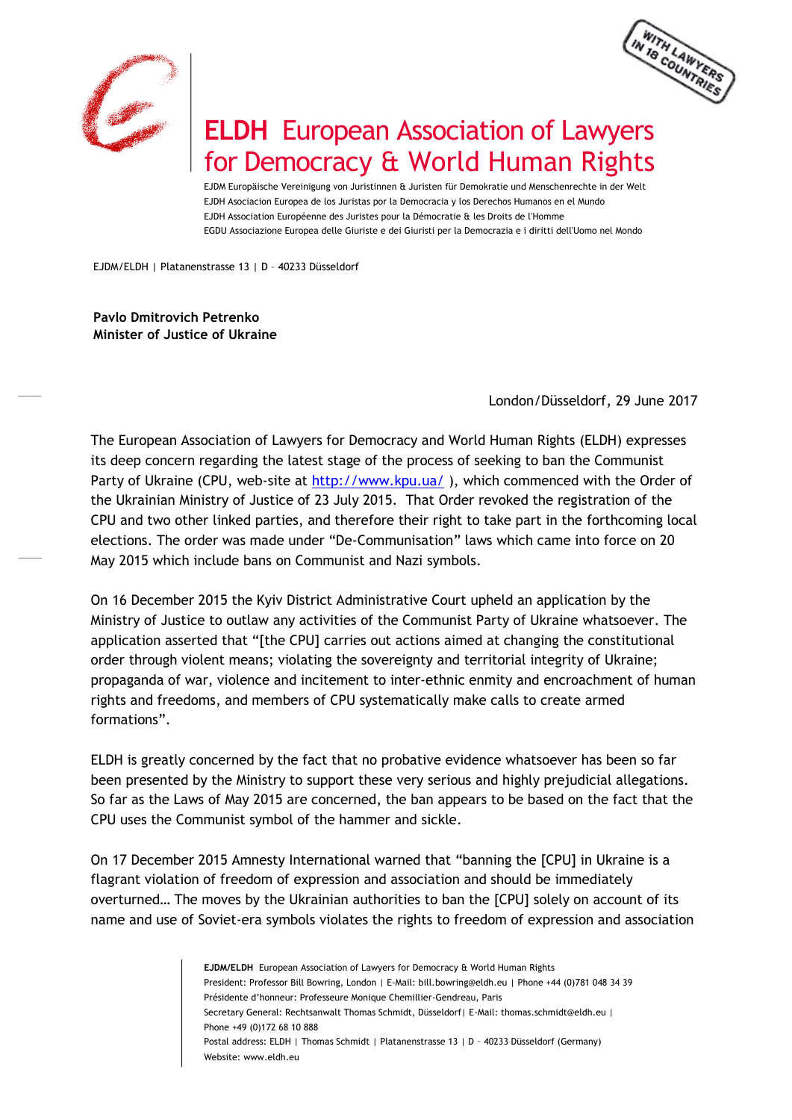



## **ELDH** European Association of Lawyers for Democracy & World Human Rights

EJDM Europäische Vereinigung von Juristinnen & Juristen für Demokratie und Menschenrechte in der Welt EJDH Asociacion Europea de los Juristas por la Democracia y los Derechos Humanos en el Mundo EJDH Association Européenne des Juristes pour la Démocratie & les Droits de l'Homme EGDU Associazione Europea delle Giuriste e dei Giuristi per la Democrazia e i diritti dell'Uomo nel Mondo

EJDM/ELDH | Platanenstrasse 13 | D – 40233 Düsseldorf

**Pavlo Dmitrovich Petrenko Minister of Justice of Ukraine**

London/Düsseldorf, 29 June 2017

The European Association of Lawyers for Democracy and World Human Rights (ELDH) expresses its deep concern regarding the latest stage of the process of seeking to ban the Communist Party of Ukraine (CPU, web-site at<http://www.kpu.ua/>), which commenced with the Order of the Ukrainian Ministry of Justice of 23 July 2015. That Order revoked the registration of the CPU and two other linked parties, and therefore their right to take part in the forthcoming local elections. The order was made under "De-Communisation" laws which came into force on 20 May 2015 which include bans on Communist and Nazi symbols.

On 16 December 2015 the Kyiv District Administrative Court upheld an application by the Ministry of Justice to outlaw any activities of the Communist Party of Ukraine whatsoever. The application asserted that "[the CPU] carries out actions aimed at changing the constitutional order through violent means; violating the sovereignty and territorial integrity of Ukraine; propaganda of war, violence and incitement to inter-ethnic enmity and encroachment of human rights and freedoms, and members of CPU systematically make calls to create armed formations".

ELDH is greatly concerned by the fact that no probative evidence whatsoever has been so far been presented by the Ministry to support these very serious and highly prejudicial allegations. So far as the Laws of May 2015 are concerned, the ban appears to be based on the fact that the CPU uses the Communist symbol of the hammer and sickle.

On 17 December 2015 Amnesty International warned that "banning the [CPU] in Ukraine is a flagrant violation of freedom of expression and association and should be immediately overturned… The moves by the Ukrainian authorities to ban the [CPU] solely on account of its name and use of Soviet-era symbols violates the rights to freedom of expression and association

> **EJDM/ELDH** European Association of Lawyers for Democracy & World Human Rights President: Professor Bill Bowring, London | E-Mail: bill.bowring@eldh.eu | Phone +44 (0)781 048 34 39 Présidente d'honneur: Professeure Monique Chemillier-Gendreau, Paris Secretary General: Rechtsanwalt Thomas Schmidt, Düsseldorf| E-Mail: thomas.schmidt@eldh.eu | Phone +49 (0)172 68 10 888 Postal address: ELDH | Thomas Schmidt | Platanenstrasse 13 | D - 40233 Düsseldorf (Germany) Website: www.eldh.eu